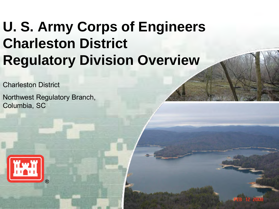## **U. S. Army Corps of Engineers Charleston District Regulatory Division Overview**

Charleston District

Northwest Regulatory Branch, Columbia, SC

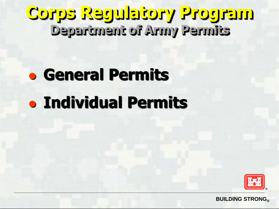#### **Corps Regulatory Program Department of Army Permits**

# **General Permits Individual Permits**

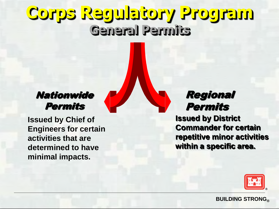## **Corps Regulatory Program General Permits**

#### Nationwide **Permits**

**Issued by Chief of Engineers for certain activities that are determined to have minimal impacts.** 

#### Regional Permits

**Issued by District Commander for certain repetitive minor activities within a specific area.** 

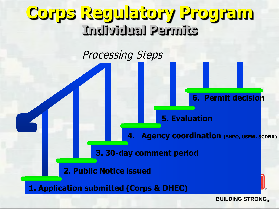### **Corps Regulatory Program Individual Permits**

#### Processing Steps

#### **6. Permit decision**

**5. Evaluation** 

**Agency coordination (SHPO, USFW, SCDNR)** 

**3. 30-day comment period** 

**2. Public Notice issued** 

**1. Application submitted (Corps & DHEC)**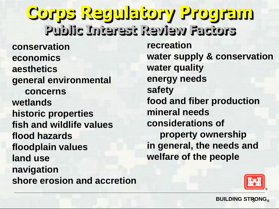**conservation economics aesthetics general environmental concerns wetlands historic properties fish and wildlife values flood hazards floodplain values land use navigation shore erosion and accretion recreation water supply & conservation water quality energy needs safety food and fiber production mineral needs considerations of property ownership in general, the needs and welfare of the people Corps Regulatory Program Public Interest Review Factors**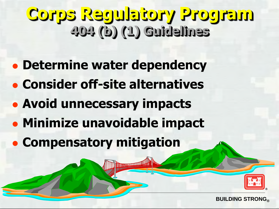## **Corps Regulatory Program 404 (b) (1) Guidelines**

- **Determine water dependency**
- **Consider off-site alternatives**
- **Avoid unnecessary impacts**
- **Minimize unavoidable impact**

unull

**Compensatory mitigation** 

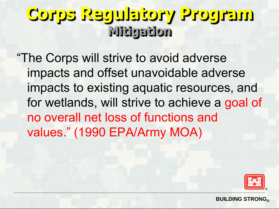## **Corps Regulatory Program Mitigation**

"The Corps will strive to avoid adverse impacts and offset unavoidable adverse impacts to existing aquatic resources, and for wetlands, will strive to achieve a goal of no overall net loss of functions and values." (1990 EPA/Army MOA)